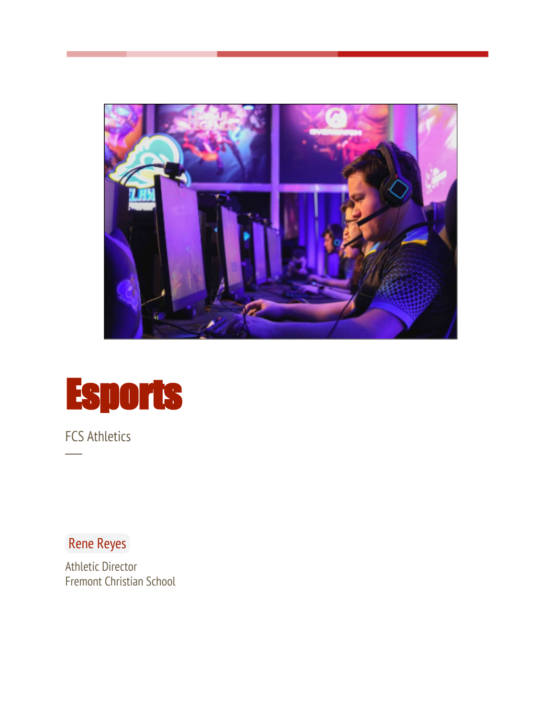



FCS Athletics

─

Rene Reyes

Athletic Director Fremont Christian School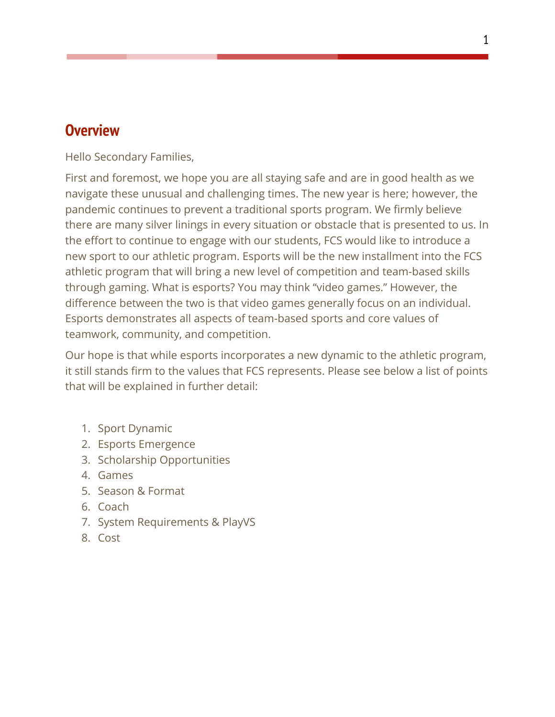### **Overview**

Hello Secondary Families,

First and foremost, we hope you are all staying safe and are in good health as we navigate these unusual and challenging times. The new year is here; however, the pandemic continues to prevent a traditional sports program. We firmly believe there are many silver linings in every situation or obstacle that is presented to us. In the effort to continue to engage with our students, FCS would like to introduce a new sport to our athletic program. Esports will be the new installment into the FCS athletic program that will bring a new level of competition and team-based skills through gaming. What is esports? You may think "video games." However, the difference between the two is that video games generally focus on an individual. Esports demonstrates all aspects of team-based sports and core values of teamwork, community, and competition.

Our hope is that while esports incorporates a new dynamic to the athletic program, it still stands firm to the values that FCS represents. Please see below a list of points that will be explained in further detail:

- 1. Sport Dynamic
- 2. Esports Emergence
- 3. Scholarship Opportunities
- 4. Games
- 5. Season & Format
- 6. Coach
- 7. System Requirements & PlayVS
- 8. Cost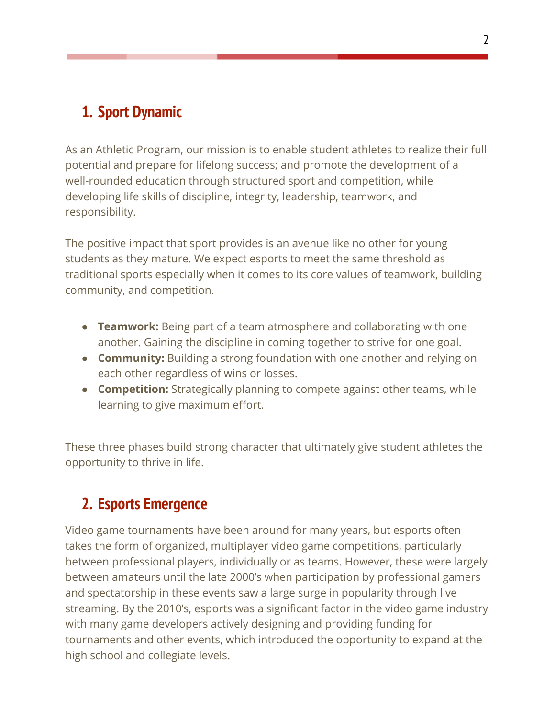## **1. Sport Dynamic**

As an Athletic Program, our mission is to enable student athletes to realize their full potential and prepare for lifelong success; and promote the development of a well-rounded education through structured sport and competition, while developing life skills of discipline, integrity, leadership, teamwork, and responsibility.

The positive impact that sport provides is an avenue like no other for young students as they mature. We expect esports to meet the same threshold as traditional sports especially when it comes to its core values of teamwork, building community, and competition.

- **Teamwork:** Being part of a team atmosphere and collaborating with one another. Gaining the discipline in coming together to strive for one goal.
- **Community:** Building a strong foundation with one another and relying on each other regardless of wins or losses.
- **Competition:** Strategically planning to compete against other teams, while learning to give maximum effort.

These three phases build strong character that ultimately give student athletes the opportunity to thrive in life.

## **2. Esports Emergence**

Video game tournaments have been around for many years, but esports often takes the form of organized, [multiplayer video game](https://en.wikipedia.org/wiki/Multiplayer_video_game) competitions, particularly between [professional](https://en.wikipedia.org/wiki/Professional_sports) players, individually or as teams. However, these were largely between amateurs until the late 2000's when participation by professional gamers and spectatorship in these events saw a large surge in popularity through live streaming. By the 2010's, esports was a significant factor in the video game industry with many game developers actively designing and providing funding for tournaments and other events, which introduced the opportunity to expand at the high school and collegiate levels.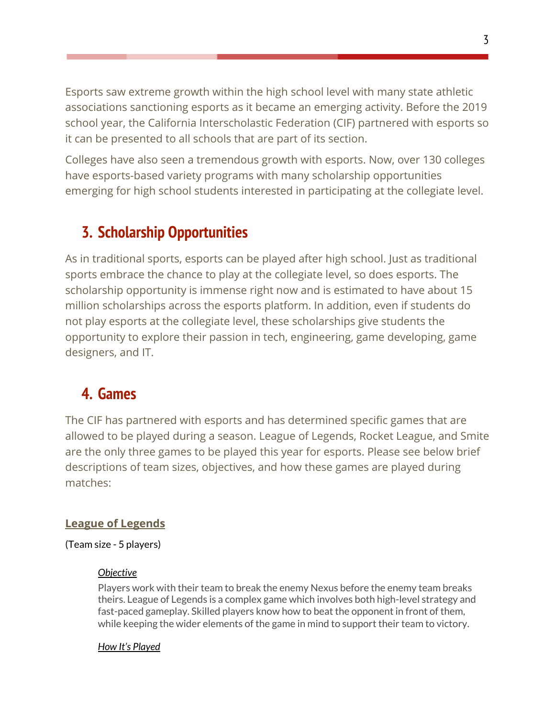Esports saw extreme growth within the high school level with many state athletic associations sanctioning esports as it became an emerging activity. Before the 2019 school year, the California Interscholastic Federation (CIF) partnered with esports so it can be presented to all schools that are part of its section.

Colleges have also seen a tremendous growth with esports. Now, over 130 colleges have esports-based variety programs with many scholarship opportunities emerging for high school students interested in participating at the collegiate level.

### **3. Scholarship Opportunities**

As in traditional sports, esports can be played after high school. Just as traditional sports embrace the chance to play at the collegiate level, so does esports. The scholarship opportunity is immense right now and is estimated to have about 15 million scholarships across the esports platform. In addition, even if students do not play esports at the collegiate level, these scholarships give students the opportunity to explore their passion in tech, engineering, game developing, game designers, and IT.

## **4. Games**

The CIF has partnered with esports and has determined specific games that are allowed to be played during a season. League of Legends, Rocket League, and Smite are the only three games to be played this year for esports. Please see below brief descriptions of team sizes, objectives, and how these games are played during matches:

### **League of Legends**

### (Team size - 5 players)

### *Objective*

Players work with their team to break the enemy Nexus before the enemy team breaks theirs. League of Legends is a complex game which involves both high-level strategy and fast-paced gameplay. Skilled players know how to beat the opponent in front of them, while keeping the wider elements of the game in mind to support their team to victory.

### *How It's Played*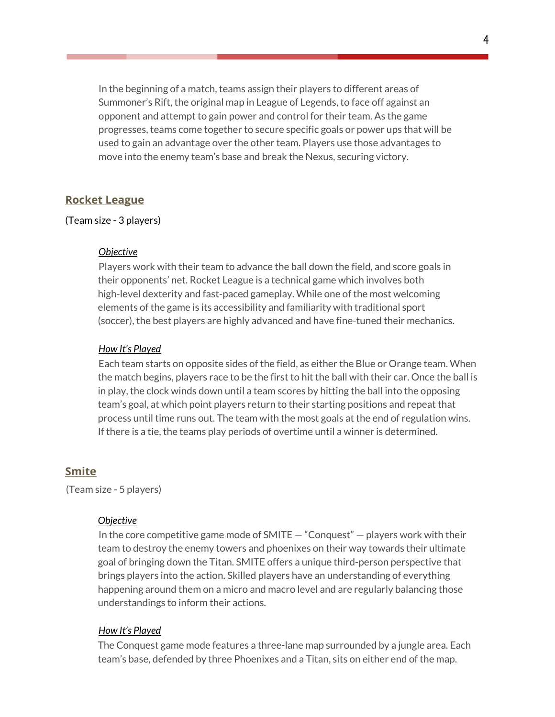In the beginning of a match, teams assign their players to different areas of Summoner's Rift, the original map in League of Legends, to face off against an opponent and attempt to gain power and control for their team. As the game progresses, teams come together to secure specific goals or power ups that will be used to gain an advantage over the other team. Players use those advantages to move into the enemy team's base and break the Nexus, securing victory.

#### **Rocket League**

#### (Team size - 3 players)

#### *Objective*

Players work with their team to advance the ball down the field, and score goals in their opponents' net. Rocket League is a technical game which involves both high-level dexterity and fast-paced gameplay. While one of the most welcoming elements of the game is its accessibility and familiarity with traditional sport (soccer), the best players are highly advanced and have fine-tuned their mechanics.

#### *How It's Played*

Each team starts on opposite sides of the field, as either the Blue or Orange team. When the match begins, players race to be the first to hit the ball with their car. Once the ball is in play, the clock winds down until a team scores by hitting the ball into the opposing team's goal, at which point players return to their starting positions and repeat that process until time runs out. The team with the most goals at the end of regulation wins. If there is a tie, the teams play periods of overtime until a winner is determined.

#### **Smite**

(Team size - 5 players)

#### *Objective*

In the core competitive game mode of SMITE — "Conquest" — players work with their team to destroy the enemy towers and phoenixes on their way towards their ultimate goal of bringing down the Titan. SMITE offers a unique third-person perspective that brings players into the action. Skilled players have an understanding of everything happening around them on a micro and macro level and are regularly balancing those understandings to inform their actions.

#### *How It's Played*

The Conquest game mode features a three-lane map surrounded by a jungle area. Each team's base, defended by three Phoenixes and a Titan, sits on either end of the map.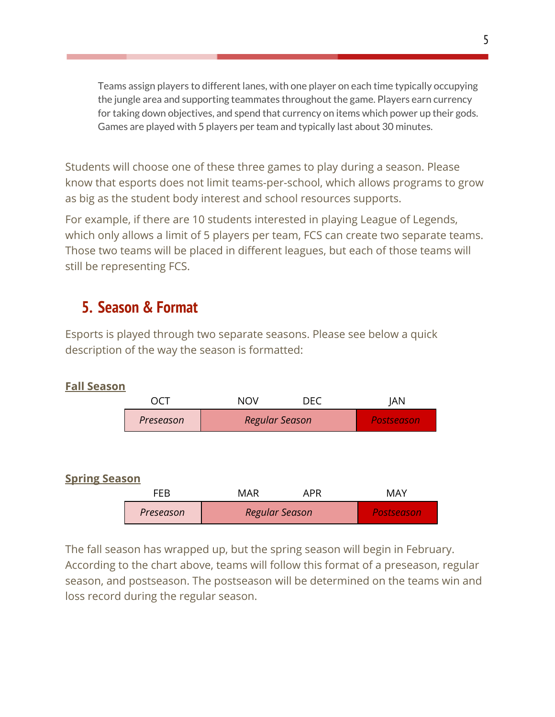Teams assign players to different lanes, with one player on each time typically occupying the jungle area and supporting teammates throughout the game. Players earn currency for taking down objectives, and spend that currency on items which power up their gods. Games are played with 5 players per team and typically last about 30 minutes.

Students will choose one of these three games to play during a season. Please know that esports does not limit teams-per-school, which allows programs to grow as big as the student body interest and school resources supports.

For example, if there are 10 students interested in playing League of Legends, which only allows a limit of 5 players per team, FCS can create two separate teams. Those two teams will be placed in different leagues, but each of those teams will still be representing FCS.

### **5. Season & Format**

Esports is played through two separate seasons. Please see below a quick description of the way the season is formatted:



### The fall season has wrapped up, but the spring season will begin in February. According to the chart above, teams will follow this format of a preseason, regular season, and postseason. The postseason will be determined on the teams win and loss record during the regular season.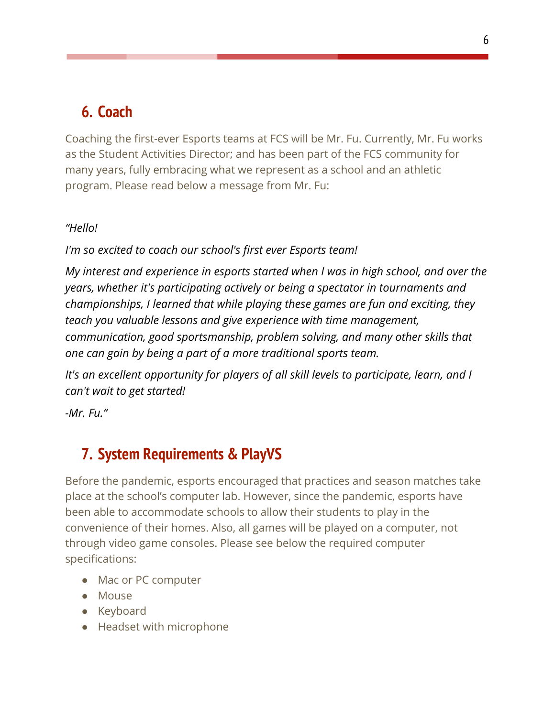## **6. Coach**

Coaching the first-ever Esports teams at FCS will be Mr. Fu. Currently, Mr. Fu works as the Student Activities Director; and has been part of the FCS community for many years, fully embracing what we represent as a school and an athletic program. Please read below a message from Mr. Fu:

### *"Hello!*

*I'm so excited to coach our school's first ever Esports team!*

*My interest and experience in esports started when I was in high school, and over the years, whether it's participating actively or being a spectator in tournaments and championships, I learned that while playing these games are fun and exciting, they teach you valuable lessons and give experience with time management, communication, good sportsmanship, problem solving, and many other skills that one can gain by being a part of a more traditional sports team.*

*It's an excellent opportunity for players of all skill levels to participate, learn, and I can't wait to get started!*

*-Mr. Fu."*

## **7. System Requirements & PlayVS**

Before the pandemic, esports encouraged that practices and season matches take place at the school's computer lab. However, since the pandemic, esports have been able to accommodate schools to allow their students to play in the convenience of their homes. Also, all games will be played on a computer, not through video game consoles. Please see below the required computer specifications:

- Mac or PC computer
- Mouse
- Keyboard
- Headset with microphone